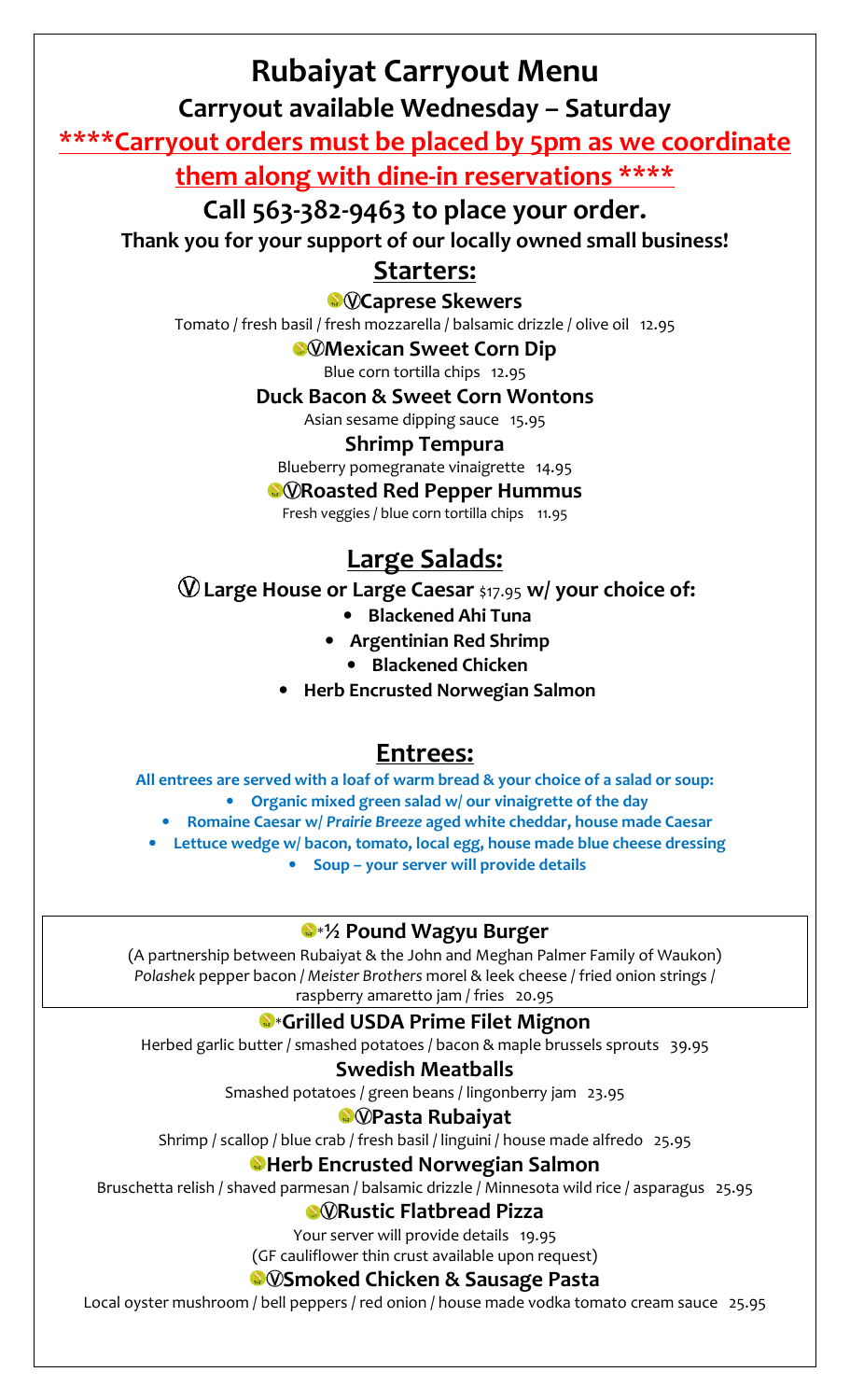# **Rubaiyat Carryout Menu**

**Carryout available Wednesday – Saturday** 

**\*\*\*\*Carryout orders must be placed by 5pm as we coordinate them along with dine-in reservations \*\*\*\*** 

**Call 563-382-9463 to place your order.** 

**Thank you for your support of our locally owned small business!** 

## **Starters:**

**C**@Caprese Skewers

Tomato / fresh basil / fresh mozzarella / balsamic drizzle / olive oil 12.95

**Mexican Sweet Corn Dip** 

Blue corn tortilla chips 12.95

**Duck Bacon & Sweet Corn Wontons** 

Asian sesame dipping sauce 15.95

#### **Shrimp Tempura**

Blueberry pomegranate vinaigrette 14.95

*<b>RORoasted Red Pepper Hummus* 

Fresh veggies / blue corn tortilla chips 11.95

## **Large Salads:**

**Large House or Large Caesar** \$17.95 **w/ your choice of:** 

- **Blackened Ahi Tuna**
- **Argentinian Red Shrimp** 
	- **Blackened Chicken**
- **Herb Encrusted Norwegian Salmon**

## **Entrees:**

**All entrees are served with a loaf of warm bread & your choice of a salad or soup:** 

• **Organic mixed green salad w/ our vinaigrette of the day** 

• **Romaine Caesar w/** *Prairie Breeze* **aged white cheddar, house made Caesar** 

- **Lettuce wedge w/ bacon, tomato, local egg, house made blue cheese dressing** 
	- **Soup your server will provide details**

### \***½ Pound Wagyu Burger**

(A partnership between Rubaiyat & the John and Meghan Palmer Family of Waukon) *Polashek* pepper bacon / *Meister Brothers* morel & leek cheese / fried onion strings / raspberry amaretto jam / fries 20.95

### \***Grilled USDA Prime Filet Mignon**

Herbed garlic butter / smashed potatoes / bacon & maple brussels sprouts 39.95

### **Swedish Meatballs**

Smashed potatoes / green beans / lingonberry jam 23.95

### *•***Pasta Rubaiyat**

Shrimp / scallop / blue crab / fresh basil / linguini / house made alfredo 25.95

### **Herb Encrusted Norwegian Salmon**

Bruschetta relish / shaved parmesan / balsamic drizzle / Minnesota wild rice / asparagus 25.95

### **Rustic Flatbread Pizza**

Your server will provide details 19.95

(GF cauliflower thin crust available upon request)

### **Smoked Chicken & Sausage Pasta**

Local oyster mushroom / bell peppers / red onion / house made vodka tomato cream sauce 25.95